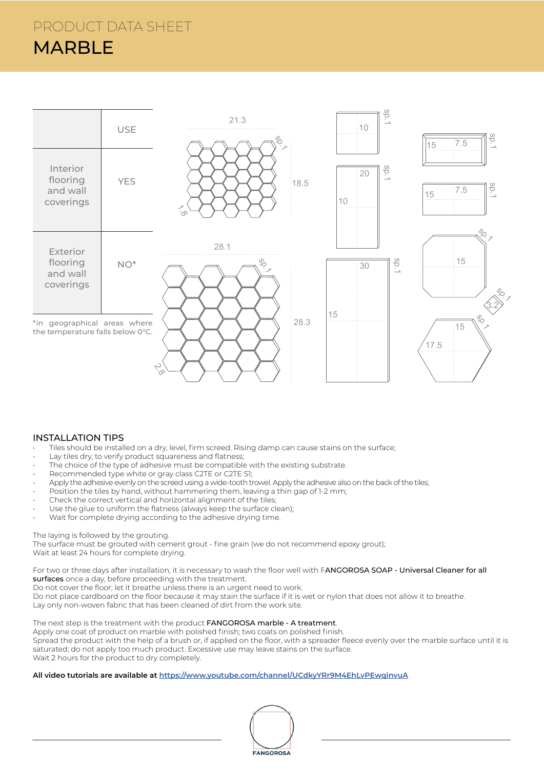

## INSTALLATION TIPS

- Tiles should be installed on a dry, level, firm screed. Rising damp can cause stains on the surface;
- Lay tiles dry, to verify product squareness and flatness;
- The choice of the type of adhesive must be compatible with the existing substrate.
- Recommended type white or gray class C2TE or C2TE S1;
- Apply the adhesive evenly on the screed using a wide-tooth trowel. Apply the adhesive also on the back of the tiles;
- Position the tiles by hand, without hammering them, leaving a thin gap of 1-2 mm;
- Check the correct vertical and horizontal alignment of the tiles;
- Use the glue to uniform the flatness (always keep the surface clean);
- Wait for complete drying according to the adhesive drying time.

#### The laying is followed by the grouting.

The surface must be grouted with cement grout - fine grain (we do not recommend epoxy grout); Wait at least 24 hours for complete drying.

For two or three days after installation, it is necessary to wash the floor well with FANGOROSA SOAP - Universal Cleaner for all surfaces once a day, before proceeding with the treatment.

Do not cover the floor; let it breathe unless there is an urgent need to work.

Do not place cardboard on the floor because it may stain the surface if it is wet or nylon that does not allow it to breathe. Lay only non-woven fabric that has been cleaned of dirt from the work site.

#### The next step is the treatment with the product FANGOROSA marble - A treatment.

Apply one coat of product on marble with polished finish; two coats on polished finish.

Spread the product with the help of a brush or, if applied on the floor, with a spreader fleece evenly over the marble surface until it is saturated; do not apply too much product. Excessive use may leave stains on the surface. Wait 2 hours for the product to dry completely.

### **All video tutorials are available at https://www.youtube.com/channel/UCdkyYRr9M4EhLvPEwqinvuA**